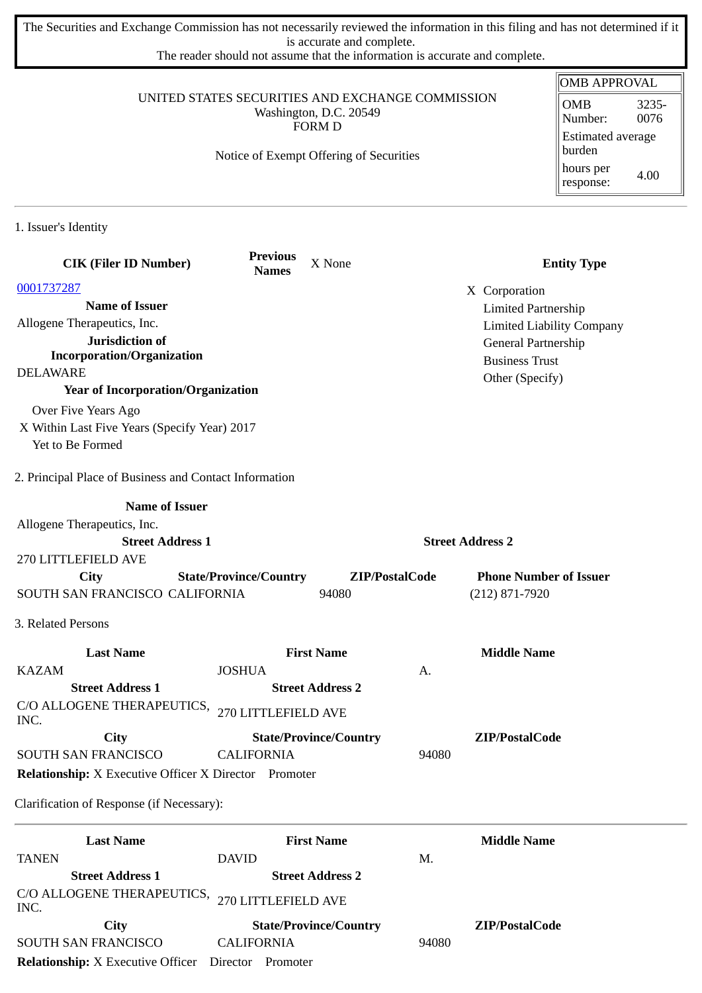The Securities and Exchange Commission has not necessarily reviewed the information in this filing and has not determined if it is accurate and complete.

The reader should not assume that the information is accurate and complete.

| UNITED STATES SECURITIES AND EXCHANGE COMMISSION             | <b>OMB APPROVAL</b><br>3235-<br><b>OMB</b><br>0076<br>Number:<br><b>Estimated average</b><br>burden<br>hours per<br>4.00<br>response: |                               |                         |                                  |
|--------------------------------------------------------------|---------------------------------------------------------------------------------------------------------------------------------------|-------------------------------|-------------------------|----------------------------------|
| 1. Issuer's Identity                                         |                                                                                                                                       |                               |                         |                                  |
| <b>CIK (Filer ID Number)</b>                                 | <b>Previous</b><br><b>Names</b>                                                                                                       | X None                        |                         | <b>Entity Type</b>               |
| 0001737287                                                   |                                                                                                                                       |                               | X Corporation           |                                  |
| <b>Name of Issuer</b>                                        |                                                                                                                                       |                               |                         | <b>Limited Partnership</b>       |
| Allogene Therapeutics, Inc.                                  |                                                                                                                                       |                               |                         | <b>Limited Liability Company</b> |
| Jurisdiction of<br><b>Incorporation/Organization</b>         |                                                                                                                                       |                               |                         | General Partnership              |
| <b>DELAWARE</b>                                              |                                                                                                                                       |                               | <b>Business Trust</b>   |                                  |
| <b>Year of Incorporation/Organization</b>                    |                                                                                                                                       |                               | Other (Specify)         |                                  |
| Over Five Years Ago                                          |                                                                                                                                       |                               |                         |                                  |
| X Within Last Five Years (Specify Year) 2017                 |                                                                                                                                       |                               |                         |                                  |
| Yet to Be Formed                                             |                                                                                                                                       |                               |                         |                                  |
| 2. Principal Place of Business and Contact Information       |                                                                                                                                       |                               |                         |                                  |
| <b>Name of Issuer</b>                                        |                                                                                                                                       |                               |                         |                                  |
| Allogene Therapeutics, Inc.                                  |                                                                                                                                       |                               |                         |                                  |
| <b>Street Address 1</b>                                      |                                                                                                                                       |                               | <b>Street Address 2</b> |                                  |
| 270 LITTLEFIELD AVE                                          |                                                                                                                                       | ZIP/PostalCode                |                         | <b>Phone Number of Issuer</b>    |
| City<br>SOUTH SAN FRANCISCO CALIFORNIA                       | <b>State/Province/Country</b>                                                                                                         | 94080                         | $(212) 871 - 7920$      |                                  |
| 3. Related Persons                                           |                                                                                                                                       |                               |                         |                                  |
| <b>Last Name</b>                                             |                                                                                                                                       | <b>First Name</b>             | <b>Middle Name</b>      |                                  |
| <b>KAZAM</b>                                                 | <b>JOSHUA</b>                                                                                                                         |                               | А.                      |                                  |
| <b>Street Address 1</b>                                      |                                                                                                                                       | <b>Street Address 2</b>       |                         |                                  |
| C/O ALLOGENE THERAPEUTICS,<br>INC.                           | 270 LITTLEFIELD AVE                                                                                                                   |                               |                         |                                  |
| City                                                         |                                                                                                                                       | <b>State/Province/Country</b> | ZIP/PostalCode          |                                  |
| <b>SOUTH SAN FRANCISCO</b>                                   | <b>CALIFORNIA</b>                                                                                                                     |                               | 94080                   |                                  |
| <b>Relationship:</b> X Executive Officer X Director Promoter |                                                                                                                                       |                               |                         |                                  |
| Clarification of Response (if Necessary):                    |                                                                                                                                       |                               |                         |                                  |
| <b>Last Name</b>                                             |                                                                                                                                       | <b>First Name</b>             | <b>Middle Name</b>      |                                  |
| <b>TANEN</b>                                                 | <b>DAVID</b>                                                                                                                          |                               | M.                      |                                  |
| <b>Street Address 1</b>                                      |                                                                                                                                       | <b>Street Address 2</b>       |                         |                                  |
| C/O ALLOGENE THERAPEUTICS,<br>INC.                           | 270 LITTLEFIELD AVE                                                                                                                   |                               |                         |                                  |
|                                                              |                                                                                                                                       |                               |                         |                                  |

| City                                                       |                   | <b>State/Province/Country</b> |       | ZIP/PostalCode |
|------------------------------------------------------------|-------------------|-------------------------------|-------|----------------|
| SOUTH SAN FRANCISCO                                        | <b>CALIFORNIA</b> |                               | 94080 |                |
| <b>Relationship:</b> X Executive Officer Director Promoter |                   |                               |       |                |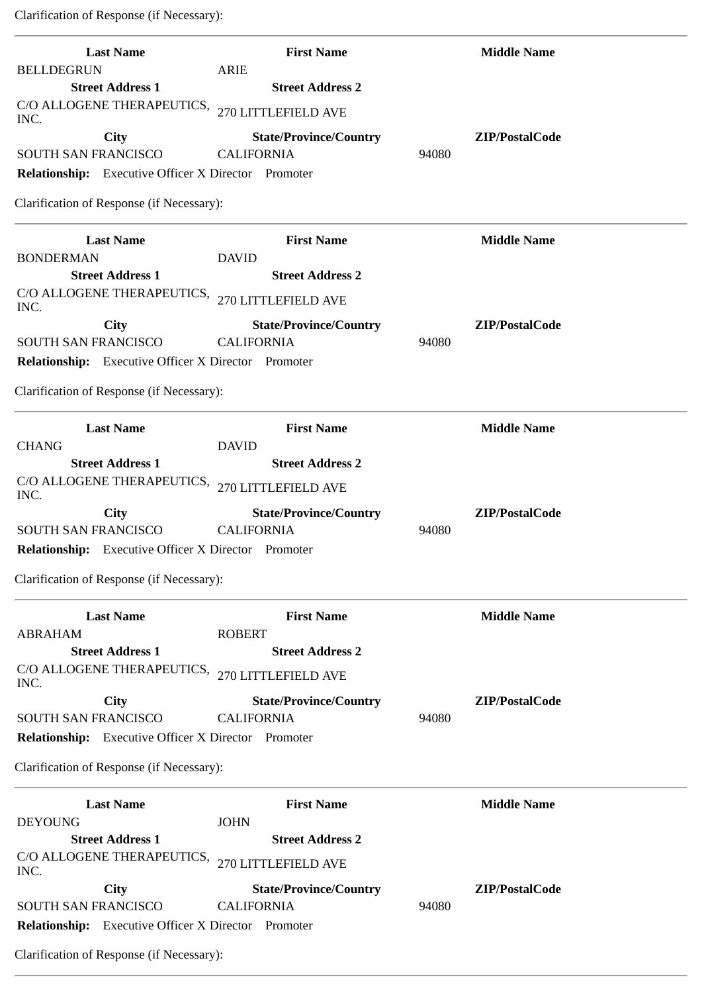Clarification of Response (if Necessary):

| <b>Last Name</b>                                           | <b>First Name</b>             | <b>Middle Name</b> |
|------------------------------------------------------------|-------------------------------|--------------------|
| <b>BELLDEGRUN</b>                                          | <b>ARIE</b>                   |                    |
| <b>Street Address 1</b>                                    | <b>Street Address 2</b>       |                    |
| C/O ALLOGENE THERAPEUTICS,<br>INC.                         | 270 LITTLEFIELD AVE           |                    |
| City                                                       | <b>State/Province/Country</b> | ZIP/PostalCode     |
| <b>SOUTH SAN FRANCISCO</b>                                 | <b>CALIFORNIA</b>             | 94080              |
| Relationship: Executive Officer X Director Promoter        |                               |                    |
| Clarification of Response (if Necessary):                  |                               |                    |
| <b>Last Name</b>                                           | <b>First Name</b>             | <b>Middle Name</b> |
| <b>BONDERMAN</b>                                           | <b>DAVID</b>                  |                    |
| <b>Street Address 1</b>                                    | <b>Street Address 2</b>       |                    |
| C/O ALLOGENE THERAPEUTICS,<br>INC.                         | 270 LITTLEFIELD AVE           |                    |
| <b>City</b>                                                | <b>State/Province/Country</b> | ZIP/PostalCode     |
| SOUTH SAN FRANCISCO                                        | <b>CALIFORNIA</b>             | 94080              |
| <b>Relationship:</b> Executive Officer X Director Promoter |                               |                    |
| Clarification of Response (if Necessary):                  |                               |                    |
| <b>Last Name</b>                                           | <b>First Name</b>             | <b>Middle Name</b> |
| <b>CHANG</b>                                               | <b>DAVID</b>                  |                    |
| <b>Street Address 1</b><br>C/O ALLOGENE THERAPEUTICS,      | <b>Street Address 2</b>       |                    |
| INC.                                                       | 270 LITTLEFIELD AVE           |                    |
| <b>City</b>                                                | <b>State/Province/Country</b> | ZIP/PostalCode     |
| SOUTH SAN FRANCISCO                                        | <b>CALIFORNIA</b>             | 94080              |
| <b>Relationship:</b> Executive Officer X Director Promoter |                               |                    |
| Clarification of Response (if Necessary):                  |                               |                    |
| <b>Last Name</b>                                           | <b>First Name</b>             | <b>Middle Name</b> |
| ABRAHAM                                                    | <b>ROBERT</b>                 |                    |
| <b>Street Address 1</b>                                    | <b>Street Address 2</b>       |                    |
| C/O ALLOGENE THERAPEUTICS,<br>INC.                         | 270 LITTLEFIELD AVE           |                    |
| City                                                       | <b>State/Province/Country</b> | ZIP/PostalCode     |
| SOUTH SAN FRANCISCO                                        | <b>CALIFORNIA</b>             | 94080              |
| <b>Relationship:</b> Executive Officer X Director Promoter |                               |                    |
| Clarification of Response (if Necessary):                  |                               |                    |
| <b>Last Name</b>                                           | <b>First Name</b>             | <b>Middle Name</b> |
| <b>DEYOUNG</b>                                             | <b>JOHN</b>                   |                    |
| <b>Street Address 1</b>                                    | <b>Street Address 2</b>       |                    |
| C/O ALLOGENE THERAPEUTICS,<br>INC.                         | 270 LITTLEFIELD AVE           |                    |
| <b>City</b>                                                | <b>State/Province/Country</b> | ZIP/PostalCode     |
| SOUTH SAN FRANCISCO                                        | <b>CALIFORNIA</b>             | 94080              |
| Relationship: Executive Officer X Director Promoter        |                               |                    |
| Clarification of Response (if Necessary):                  |                               |                    |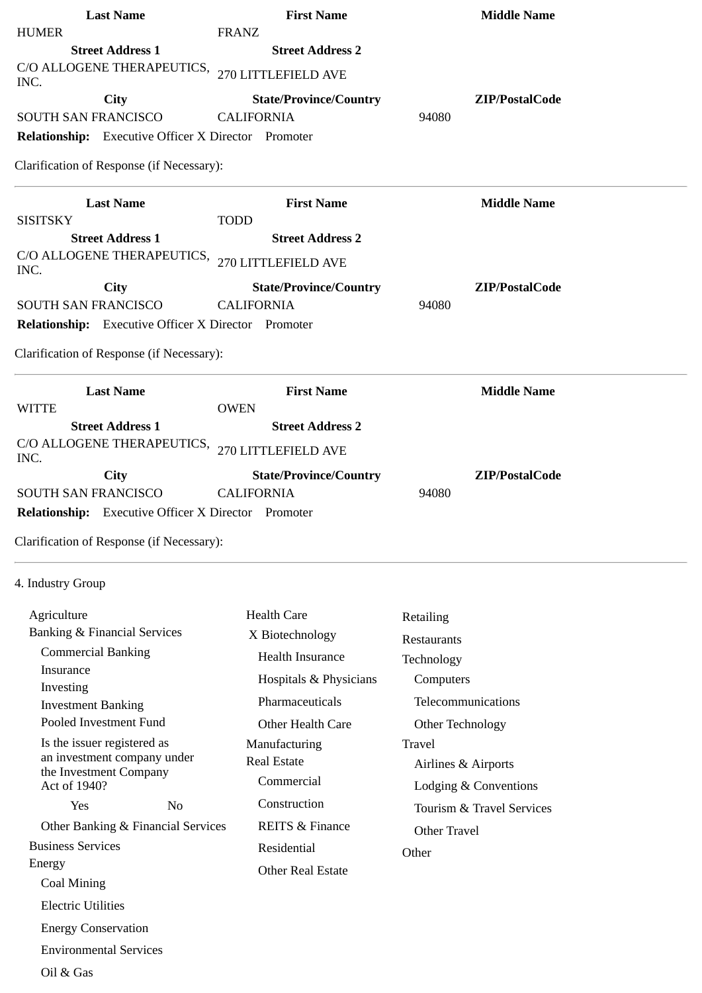| <b>Last Name</b>                                           | <b>First Name</b>             | <b>Middle Name</b>        |
|------------------------------------------------------------|-------------------------------|---------------------------|
| <b>HUMER</b>                                               | <b>FRANZ</b>                  |                           |
| <b>Street Address 1</b>                                    | <b>Street Address 2</b>       |                           |
| C/O ALLOGENE THERAPEUTICS,<br>INC.                         | 270 LITTLEFIELD AVE           |                           |
| <b>City</b>                                                | <b>State/Province/Country</b> | ZIP/PostalCode            |
| SOUTH SAN FRANCISCO                                        | <b>CALIFORNIA</b>             | 94080                     |
| Relationship: Executive Officer X Director Promoter        |                               |                           |
| Clarification of Response (if Necessary):                  |                               |                           |
| <b>Last Name</b>                                           | <b>First Name</b>             | <b>Middle Name</b>        |
| <b>SISITSKY</b>                                            | TODD                          |                           |
| <b>Street Address 1</b>                                    | <b>Street Address 2</b>       |                           |
| C/O ALLOGENE THERAPEUTICS,<br>INC.                         | 270 LITTLEFIELD AVE           |                           |
| City                                                       | <b>State/Province/Country</b> | ZIP/PostalCode            |
| SOUTH SAN FRANCISCO                                        | <b>CALIFORNIA</b>             | 94080                     |
| Relationship: Executive Officer X Director Promoter        |                               |                           |
| Clarification of Response (if Necessary):                  |                               |                           |
| <b>Last Name</b>                                           | <b>First Name</b>             | <b>Middle Name</b>        |
| <b>WITTE</b>                                               | <b>OWEN</b>                   |                           |
| <b>Street Address 1</b>                                    | <b>Street Address 2</b>       |                           |
| C/O ALLOGENE THERAPEUTICS,<br>INC.                         | 270 LITTLEFIELD AVE           |                           |
| City                                                       | <b>State/Province/Country</b> | ZIP/PostalCode            |
|                                                            |                               |                           |
| <b>SOUTH SAN FRANCISCO</b>                                 | <b>CALIFORNIA</b>             | 94080                     |
| <b>Relationship:</b> Executive Officer X Director Promoter |                               |                           |
| Clarification of Response (if Necessary):                  |                               |                           |
| 4. Industry Group                                          |                               |                           |
|                                                            |                               |                           |
| Agriculture                                                | <b>Health Care</b>            | Retailing                 |
| <b>Banking &amp; Financial Services</b>                    | X Biotechnology               | Restaurants               |
| <b>Commercial Banking</b><br>Insurance                     | <b>Health Insurance</b>       | Technology                |
| Investing                                                  | Hospitals & Physicians        | Computers                 |
| <b>Investment Banking</b>                                  | Pharmaceuticals               | Telecommunications        |
| Pooled Investment Fund                                     | Other Health Care             | Other Technology          |
| Is the issuer registered as                                | Manufacturing                 | <b>Travel</b>             |
| an investment company under                                | <b>Real Estate</b>            | Airlines & Airports       |
| the Investment Company<br>Act of 1940?                     | Commercial                    | Lodging & Conventions     |
| Yes<br>N <sub>o</sub>                                      | Construction                  | Tourism & Travel Services |
| Other Banking & Financial Services                         | <b>REITS &amp; Finance</b>    | Other Travel              |
| <b>Business Services</b>                                   | Residential                   | Other                     |
| Energy                                                     | <b>Other Real Estate</b>      |                           |
| Coal Mining                                                |                               |                           |
| <b>Electric Utilities</b>                                  |                               |                           |
| <b>Energy Conservation</b>                                 |                               |                           |
| <b>Environmental Services</b>                              |                               |                           |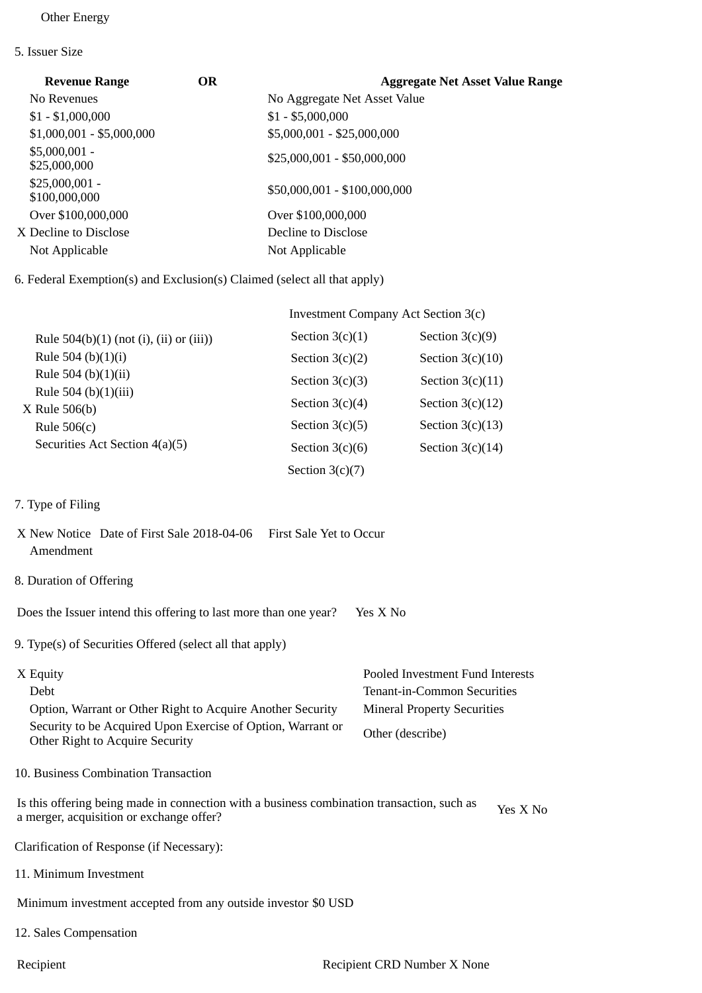## Other Energy

5. Issuer Size

| <b>OR</b> | <b>Aggregate Net Asset Value Range</b> |
|-----------|----------------------------------------|
|           | No Aggregate Net Asset Value           |
|           | $$1 - $5,000,000$                      |
|           | \$5,000,001 - \$25,000,000             |
|           | $$25,000,001 - $50,000,000$            |
|           | \$50,000,001 - \$100,000,000           |
|           | Over \$100,000,000                     |
|           | Decline to Disclose                    |
|           | Not Applicable                         |
|           |                                        |

6. Federal Exemption(s) and Exclusion(s) Claimed (select all that apply)

|                                            | Investment Company Act Section 3(c) |                    |  |
|--------------------------------------------|-------------------------------------|--------------------|--|
| Rule $504(b)(1)$ (not (i), (ii) or (iii))  | Section $3(c)(1)$                   | Section $3(c)(9)$  |  |
| Rule 504 (b) $(1)(i)$                      | Section $3(c)(2)$                   | Section $3(c)(10)$ |  |
| Rule 504 (b) $(1)(ii)$                     | Section $3(c)(3)$                   | Section $3(c)(11)$ |  |
| Rule 504 (b) $(1)(iii)$<br>$X$ Rule 506(b) | Section $3(c)(4)$                   | Section $3(c)(12)$ |  |
| Rule $506(c)$                              | Section $3(c)(5)$                   | Section $3(c)(13)$ |  |
| Securities Act Section 4(a)(5)             | Section $3(c)(6)$                   | Section $3(c)(14)$ |  |
|                                            | Section $3(c)(7)$                   |                    |  |

7. Type of Filing

|           | X New Notice Date of First Sale 2018-04-06 First Sale Yet to Occur |  |
|-----------|--------------------------------------------------------------------|--|
| Amendment |                                                                    |  |

8. Duration of Offering

Does the Issuer intend this offering to last more than one year? Yes X No

9. Type(s) of Securities Offered (select all that apply)

| X Equity                                                                                       | Pooled Investment Fund Interests   |
|------------------------------------------------------------------------------------------------|------------------------------------|
| Debt                                                                                           | Tenant-in-Common Securities        |
| Option, Warrant or Other Right to Acquire Another Security                                     | <b>Mineral Property Securities</b> |
| Security to be Acquired Upon Exercise of Option, Warrant or<br>Other Right to Acquire Security | Other (describe)                   |

10. Business Combination Transaction

Is this offering being made in connection with a business combination transaction, such as Yes X No<br>a merger, acquisition or exchange offer?

Clarification of Response (if Necessary):

11. Minimum Investment

Minimum investment accepted from any outside investor \$0 USD

12. Sales Compensation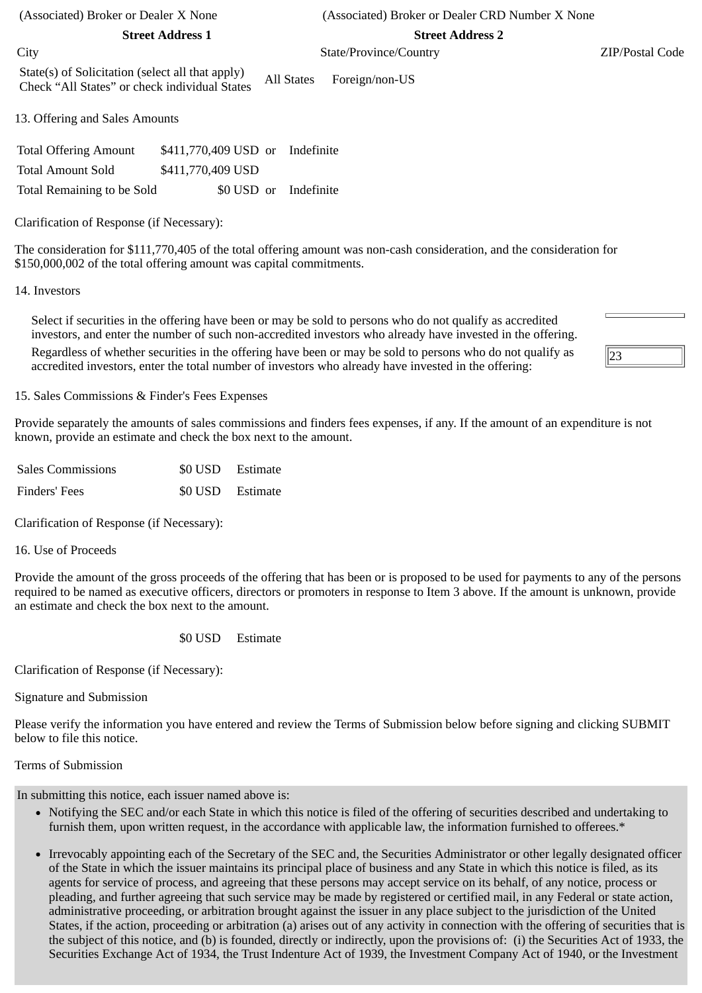| (Associated) Broker or Dealer X None<br><b>Street Address 1</b>                                   |                                    | (Associated) Broker or Dealer CRD Number X None<br><b>Street Address 2</b> |                 |
|---------------------------------------------------------------------------------------------------|------------------------------------|----------------------------------------------------------------------------|-----------------|
| City                                                                                              |                                    | State/Province/Country                                                     | ZIP/Postal Code |
| State(s) of Solicitation (select all that apply)<br>Check "All States" or check individual States | All States                         | Foreign/non-US                                                             |                 |
| 13. Offering and Sales Amounts                                                                    |                                    |                                                                            |                 |
| <b>Total Offering Amount</b>                                                                      | \$411,770,409 USD or<br>Indefinite |                                                                            |                 |
| Total Amount Sold                                                                                 | \$411,770,409 USD                  |                                                                            |                 |
| Total Remaining to be Sold                                                                        | \$0 USD or<br>Indefinite           |                                                                            |                 |
| Clarification of Response (if Necessary):                                                         |                                    |                                                                            |                 |

The consideration for \$111,770,405 of the total offering amount was non-cash consideration, and the consideration for \$150,000,002 of the total offering amount was capital commitments.

## 14. Investors

Select if securities in the offering have been or may be sold to persons who do not qualify as accredited investors, and enter the number of such non-accredited investors who already have invested in the offering. Regardless of whether securities in the offering have been or may be sold to persons who do not qualify as accredited investors, enter the total number of investors who already have invested in the offering:

15. Sales Commissions & Finder's Fees Expenses

Provide separately the amounts of sales commissions and finders fees expenses, if any. If the amount of an expenditure is not known, provide an estimate and check the box next to the amount.

23

| <b>Sales Commissions</b> | \$0 USD Estimate |
|--------------------------|------------------|
| Finders' Fees            | \$0 USD Estimate |

Clarification of Response (if Necessary):

## 16. Use of Proceeds

Provide the amount of the gross proceeds of the offering that has been or is proposed to be used for payments to any of the persons required to be named as executive officers, directors or promoters in response to Item 3 above. If the amount is unknown, provide an estimate and check the box next to the amount.

\$0 USD Estimate

Clarification of Response (if Necessary):

Signature and Submission

Please verify the information you have entered and review the Terms of Submission below before signing and clicking SUBMIT below to file this notice.

## Terms of Submission

In submitting this notice, each issuer named above is:

- Notifying the SEC and/or each State in which this notice is filed of the offering of securities described and undertaking to furnish them, upon written request, in the accordance with applicable law, the information furnished to offerees.\*
- Irrevocably appointing each of the Secretary of the SEC and, the Securities Administrator or other legally designated officer of the State in which the issuer maintains its principal place of business and any State in which this notice is filed, as its agents for service of process, and agreeing that these persons may accept service on its behalf, of any notice, process or pleading, and further agreeing that such service may be made by registered or certified mail, in any Federal or state action, administrative proceeding, or arbitration brought against the issuer in any place subject to the jurisdiction of the United States, if the action, proceeding or arbitration (a) arises out of any activity in connection with the offering of securities that is the subject of this notice, and (b) is founded, directly or indirectly, upon the provisions of: (i) the Securities Act of 1933, the Securities Exchange Act of 1934, the Trust Indenture Act of 1939, the Investment Company Act of 1940, or the Investment